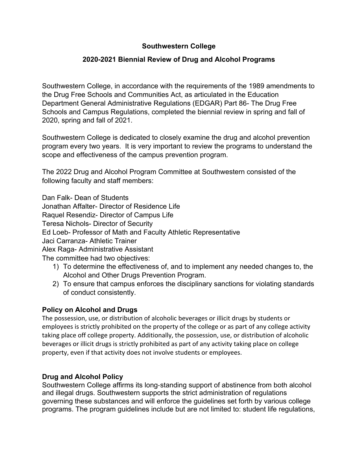## **Southwestern College**

## **2020-2021 Biennial Review of Drug and Alcohol Programs**

Southwestern College, in accordance with the requirements of the 1989 amendments to the Drug Free Schools and Communities Act, as articulated in the Education Department General Administrative Regulations (EDGAR) Part 86- The Drug Free Schools and Campus Regulations, completed the biennial review in spring and fall of 2020, spring and fall of 2021.

Southwestern College is dedicated to closely examine the drug and alcohol prevention program every two years. It is very important to review the programs to understand the scope and effectiveness of the campus prevention program.

The 2022 Drug and Alcohol Program Committee at Southwestern consisted of the following faculty and staff members:

Dan Falk- Dean of Students Jonathan Affalter- Director of Residence Life Raquel Resendiz- Director of Campus Life Teresa Nichols- Director of Security Ed Loeb- Professor of Math and Faculty Athletic Representative Jaci Carranza- Athletic Trainer Alex Raga- Administrative Assistant The committee had two objectives:

- 1) To determine the effectiveness of, and to implement any needed changes to, the Alcohol and Other Drugs Prevention Program.
- 2) To ensure that campus enforces the disciplinary sanctions for violating standards of conduct consistently.

## **Policy on Alcohol and Drugs**

The possession, use, or distribution of alcoholic beverages or illicit drugs by students or employees is strictly prohibited on the property of the college or as part of any college activity taking place off college property. Additionally, the possession, use, or distribution of alcoholic beverages or illicit drugs is strictly prohibited as part of any activity taking place on college property, even if that activity does not involve students or employees.

### **Drug and Alcohol Policy**

Southwestern College affirms its long-standing support of abstinence from both alcohol and illegal drugs. Southwestern supports the strict administration of regulations governing these substances and will enforce the guidelines set forth by various college programs. The program guidelines include but are not limited to: student life regulations,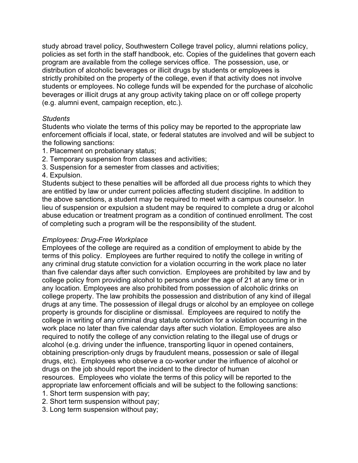study abroad travel policy, Southwestern College travel policy, alumni relations policy, policies as set forth in the staff handbook, etc. Copies of the guidelines that govern each program are available from the college services office. The possession, use, or distribution of alcoholic beverages or illicit drugs by students or employees is strictly prohibited on the property of the college, even if that activity does not involve students or employees. No college funds will be expended for the purchase of alcoholic beverages or illicit drugs at any group activity taking place on or off college property (e.g. alumni event, campaign reception, etc.).

### *Students*

Students who violate the terms of this policy may be reported to the appropriate law enforcement officials if local, state, or federal statutes are involved and will be subject to the following sanctions:

- 1. Placement on probationary status;
- 2. Temporary suspension from classes and activities;
- 3. Suspension for a semester from classes and activities;
- 4. Expulsion.

Students subject to these penalties will be afforded all due process rights to which they are entitled by law or under current policies affecting student discipline. In addition to the above sanctions, a student may be required to meet with a campus counselor. In lieu of suspension or expulsion a student may be required to complete a drug or alcohol abuse education or treatment program as a condition of continued enrollment. The cost of completing such a program will be the responsibility of the student.

## *Employees: Drug-Free Workplace*

Employees of the college are required as a condition of employment to abide by the terms of this policy. Employees are further required to notify the college in writing of any criminal drug statute conviction for a violation occurring in the work place no later than five calendar days after such conviction. Employees are prohibited by law and by college policy from providing alcohol to persons under the age of 21 at any time or in any location. Employees are also prohibited from possession of alcoholic drinks on college property. The law prohibits the possession and distribution of any kind of illegal drugs at any time. The possession of illegal drugs or alcohol by an employee on college property is grounds for discipline or dismissal. Employees are required to notify the college in writing of any criminal drug statute conviction for a violation occurring in the work place no later than five calendar days after such violation. Employees are also required to notify the college of any conviction relating to the illegal use of drugs or alcohol (e.g. driving under the influence, transporting liquor in opened containers, obtaining prescription-only drugs by fraudulent means, possession or sale of illegal drugs, etc). Employees who observe a co-worker under the influence of alcohol or drugs on the job should report the incident to the director of human resources. Employees who violate the terms of this policy will be reported to the appropriate law enforcement officials and will be subject to the following sanctions:

1. Short term suspension with pay;

- 2. Short term suspension without pay;
- 3. Long term suspension without pay;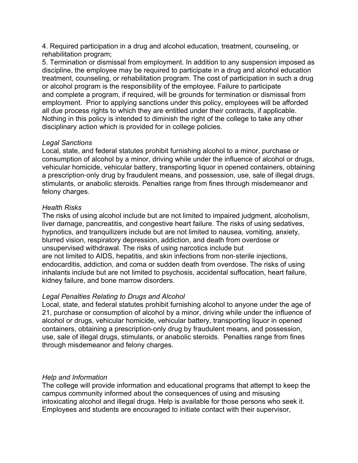4. Required participation in a drug and alcohol education, treatment, counseling, or rehabilitation program;

5. Termination or dismissal from employment. In addition to any suspension imposed as discipline, the employee may be required to participate in a drug and alcohol education treatment, counseling, or rehabilitation program. The cost of participation in such a drug or alcohol program is the responsibility of the employee. Failure to participate and complete a program, if required, will be grounds for termination or dismissal from employment. Prior to applying sanctions under this policy, employees will be afforded all due process rights to which they are entitled under their contracts, if applicable. Nothing in this policy is intended to diminish the right of the college to take any other disciplinary action which is provided for in college policies.

#### *Legal Sanctions*

Local, state, and federal statutes prohibit furnishing alcohol to a minor, purchase or consumption of alcohol by a minor, driving while under the influence of alcohol or drugs, vehicular homicide, vehicular battery, transporting liquor in opened containers, obtaining a prescription-only drug by fraudulent means, and possession, use, sale of illegal drugs, stimulants, or anabolic steroids. Penalties range from fines through misdemeanor and felony charges.

### *Health Risks*

The risks of using alcohol include but are not limited to impaired judgment, alcoholism, liver damage, pancreatitis, and congestive heart failure. The risks of using sedatives, hypnotics, and tranquilizers include but are not limited to nausea, vomiting, anxiety, blurred vision, respiratory depression, addiction, and death from overdose or unsupervised withdrawal. The risks of using narcotics include but are not limited to AIDS, hepatitis, and skin infections from non-sterile injections, endocarditis, addiction, and coma or sudden death from overdose. The risks of using inhalants include but are not limited to psychosis, accidental suffocation, heart failure, kidney failure, and bone marrow disorders.

### *Legal Penalties Relating to Drugs and Alcohol*

Local, state, and federal statutes prohibit furnishing alcohol to anyone under the age of 21, purchase or consumption of alcohol by a minor, driving while under the influence of alcohol or drugs, vehicular homicide, vehicular battery, transporting liquor in opened containers, obtaining a prescription-only drug by fraudulent means, and possession, use, sale of illegal drugs, stimulants, or anabolic steroids. Penalties range from fines through misdemeanor and felony charges.

### *Help and Information*

The college will provide information and educational programs that attempt to keep the campus community informed about the consequences of using and misusing intoxicating alcohol and illegal drugs. Help is available for those persons who seek it. Employees and students are encouraged to initiate contact with their supervisor,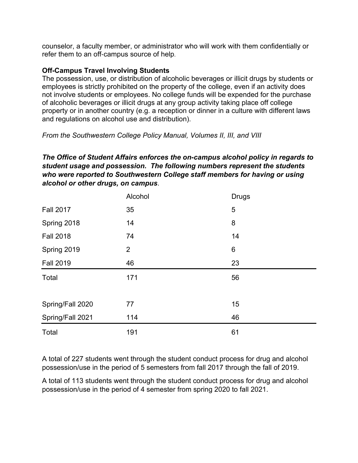counselor, a faculty member, or administrator who will work with them confidentially or refer them to an off-campus source of help.

## **Off-Campus Travel Involving Students**

The possession, use, or distribution of alcoholic beverages or illicit drugs by students or employees is strictly prohibited on the property of the college, even if an activity does not involve students or employees. No college funds will be expended for the purchase of alcoholic beverages or illicit drugs at any group activity taking place off college property or in another country (e.g. a reception or dinner in a culture with different laws and regulations on alcohol use and distribution).

*From the Southwestern College Policy Manual, Volumes II, III, and VIII*

## *The Office of Student Affairs enforces the on-campus alcohol policy in regards to student usage and possession. The following numbers represent the students who were reported to Southwestern College staff members for having or using alcohol or other drugs, on campus*.

|                  | Alcohol        | <b>Drugs</b> |
|------------------|----------------|--------------|
| <b>Fall 2017</b> | 35             | 5            |
| Spring 2018      | 14             | 8            |
| <b>Fall 2018</b> | 74             | 14           |
| Spring 2019      | $\overline{2}$ | 6            |
| <b>Fall 2019</b> | 46             | 23           |
| Total            | 171            | 56           |
|                  |                |              |
| Spring/Fall 2020 | 77             | 15           |
| Spring/Fall 2021 | 114            | 46           |
| Total            | 191            | 61           |

A total of 227 students went through the student conduct process for drug and alcohol possession/use in the period of 5 semesters from fall 2017 through the fall of 2019.

A total of 113 students went through the student conduct process for drug and alcohol possession/use in the period of 4 semester from spring 2020 to fall 2021.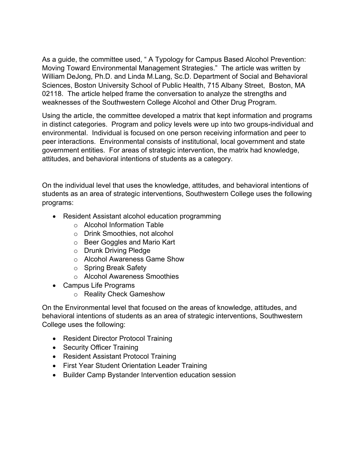As a guide, the committee used, " A Typology for Campus Based Alcohol Prevention: Moving Toward Environmental Management Strategies." The article was written by William DeJong, Ph.D. and Linda M.Lang, Sc.D. Department of Social and Behavioral Sciences, Boston University School of Public Health, 715 Albany Street, Boston, MA 02118. The article helped frame the conversation to analyze the strengths and weaknesses of the Southwestern College Alcohol and Other Drug Program.

Using the article, the committee developed a matrix that kept information and programs in distinct categories. Program and policy levels were up into two groups-individual and environmental. Individual is focused on one person receiving information and peer to peer interactions. Environmental consists of institutional, local government and state government entities. For areas of strategic intervention, the matrix had knowledge, attitudes, and behavioral intentions of students as a category.

On the individual level that uses the knowledge, attitudes, and behavioral intentions of students as an area of strategic interventions, Southwestern College uses the following programs:

- Resident Assistant alcohol education programming
	- o Alcohol Information Table
	- o Drink Smoothies, not alcohol
	- o Beer Goggles and Mario Kart
	- o Drunk Driving Pledge
	- o Alcohol Awareness Game Show
	- o Spring Break Safety
	- o Alcohol Awareness Smoothies
- Campus Life Programs
	- o Reality Check Gameshow

On the Environmental level that focused on the areas of knowledge, attitudes, and behavioral intentions of students as an area of strategic interventions, Southwestern College uses the following:

- Resident Director Protocol Training
- Security Officer Training
- Resident Assistant Protocol Training
- First Year Student Orientation Leader Training
- Builder Camp Bystander Intervention education session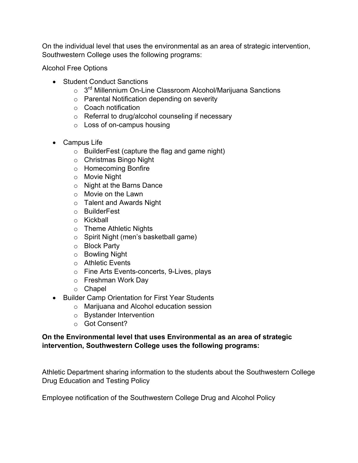On the individual level that uses the environmental as an area of strategic intervention, Southwestern College uses the following programs:

Alcohol Free Options

- Student Conduct Sanctions
	- o 3<sup>rd</sup> Millennium On-Line Classroom Alcohol/Marijuana Sanctions
	- o Parental Notification depending on severity
	- o Coach notification
	- o Referral to drug/alcohol counseling if necessary
	- o Loss of on-campus housing
- Campus Life
	- o BuilderFest (capture the flag and game night)
	- o Christmas Bingo Night
	- o Homecoming Bonfire
	- o Movie Night
	- o Night at the Barns Dance
	- o Movie on the Lawn
	- o Talent and Awards Night
	- o BuilderFest
	- o Kickball
	- o Theme Athletic Nights
	- o Spirit Night (men's basketball game)
	- o Block Party
	- o Bowling Night
	- o Athletic Events
	- o Fine Arts Events-concerts, 9-Lives, plays
	- o Freshman Work Day
	- o Chapel
- Builder Camp Orientation for First Year Students
	- o Marijuana and Alcohol education session
	- o Bystander Intervention
	- o Got Consent?

## **On the Environmental level that uses Environmental as an area of strategic intervention, Southwestern College uses the following programs:**

Athletic Department sharing information to the students about the Southwestern College Drug Education and Testing Policy

Employee notification of the Southwestern College Drug and Alcohol Policy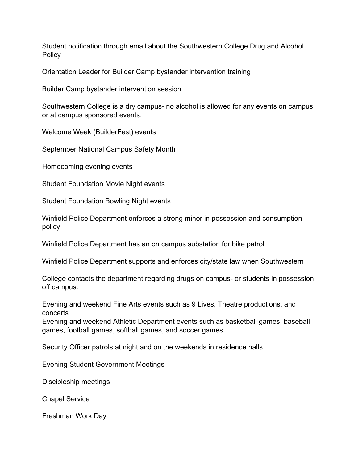Student notification through email about the Southwestern College Drug and Alcohol **Policy** 

Orientation Leader for Builder Camp bystander intervention training

Builder Camp bystander intervention session

Southwestern College is a dry campus- no alcohol is allowed for any events on campus or at campus sponsored events.

Welcome Week (BuilderFest) events

September National Campus Safety Month

Homecoming evening events

Student Foundation Movie Night events

Student Foundation Bowling Night events

Winfield Police Department enforces a strong minor in possession and consumption policy

Winfield Police Department has an on campus substation for bike patrol

Winfield Police Department supports and enforces city/state law when Southwestern

College contacts the department regarding drugs on campus- or students in possession off campus.

Evening and weekend Fine Arts events such as 9 Lives, Theatre productions, and concerts

Evening and weekend Athletic Department events such as basketball games, baseball games, football games, softball games, and soccer games

Security Officer patrols at night and on the weekends in residence halls

Evening Student Government Meetings

Discipleship meetings

Chapel Service

Freshman Work Day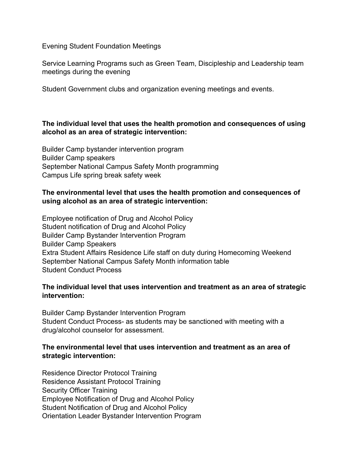Evening Student Foundation Meetings

Service Learning Programs such as Green Team, Discipleship and Leadership team meetings during the evening

Student Government clubs and organization evening meetings and events.

## **The individual level that uses the health promotion and consequences of using alcohol as an area of strategic intervention:**

Builder Camp bystander intervention program Builder Camp speakers September National Campus Safety Month programming Campus Life spring break safety week

## **The environmental level that uses the health promotion and consequences of using alcohol as an area of strategic intervention:**

Employee notification of Drug and Alcohol Policy Student notification of Drug and Alcohol Policy Builder Camp Bystander Intervention Program Builder Camp Speakers Extra Student Affairs Residence Life staff on duty during Homecoming Weekend September National Campus Safety Month information table Student Conduct Process

## **The individual level that uses intervention and treatment as an area of strategic intervention:**

Builder Camp Bystander Intervention Program Student Conduct Process- as students may be sanctioned with meeting with a drug/alcohol counselor for assessment.

## **The environmental level that uses intervention and treatment as an area of strategic intervention:**

Residence Director Protocol Training Residence Assistant Protocol Training Security Officer Training Employee Notification of Drug and Alcohol Policy Student Notification of Drug and Alcohol Policy Orientation Leader Bystander Intervention Program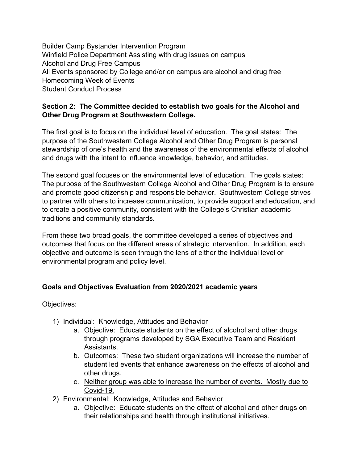Builder Camp Bystander Intervention Program Winfield Police Department Assisting with drug issues on campus Alcohol and Drug Free Campus All Events sponsored by College and/or on campus are alcohol and drug free Homecoming Week of Events Student Conduct Process

## **Section 2: The Committee decided to establish two goals for the Alcohol and Other Drug Program at Southwestern College.**

The first goal is to focus on the individual level of education. The goal states: The purpose of the Southwestern College Alcohol and Other Drug Program is personal stewardship of one's health and the awareness of the environmental effects of alcohol and drugs with the intent to influence knowledge, behavior, and attitudes.

The second goal focuses on the environmental level of education. The goals states: The purpose of the Southwestern College Alcohol and Other Drug Program is to ensure and promote good citizenship and responsible behavior. Southwestern College strives to partner with others to increase communication, to provide support and education, and to create a positive community, consistent with the College's Christian academic traditions and community standards.

From these two broad goals, the committee developed a series of objectives and outcomes that focus on the different areas of strategic intervention. In addition, each objective and outcome is seen through the lens of either the individual level or environmental program and policy level.

## **Goals and Objectives Evaluation from 2020/2021 academic years**

Objectives:

- 1) Individual: Knowledge, Attitudes and Behavior
	- a. Objective: Educate students on the effect of alcohol and other drugs through programs developed by SGA Executive Team and Resident Assistants.
	- b. Outcomes: These two student organizations will increase the number of student led events that enhance awareness on the effects of alcohol and other drugs.
	- c. Neither group was able to increase the number of events. Mostly due to Covid-19.
- 2) Environmental: Knowledge, Attitudes and Behavior
	- a. Objective: Educate students on the effect of alcohol and other drugs on their relationships and health through institutional initiatives.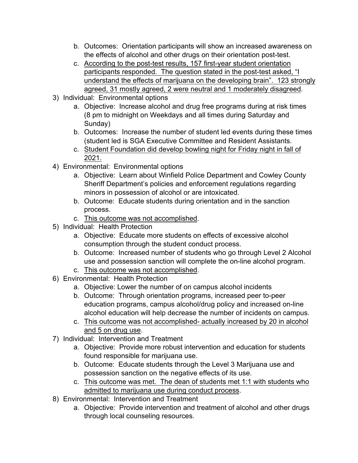- b. Outcomes: Orientation participants will show an increased awareness on the effects of alcohol and other drugs on their orientation post-test.
- c. According to the post-test results, 157 first-year student orientation participants responded. The question stated in the post-test asked, "I understand the effects of marijuana on the developing brain". 123 strongly agreed, 31 mostly agreed, 2 were neutral and 1 moderately disagreed.
- 3) Individual: Environmental options
	- a. Objective: Increase alcohol and drug free programs during at risk times (8 pm to midnight on Weekdays and all times during Saturday and Sunday)
	- b. Outcomes: Increase the number of student led events during these times (student led is SGA Executive Committee and Resident Assistants.
	- c. Student Foundation did develop bowling night for Friday night in fall of 2021.
- 4) Environmental: Environmental options
	- a. Objective: Learn about Winfield Police Department and Cowley County Sheriff Department's policies and enforcement regulations regarding minors in possession of alcohol or are intoxicated.
	- b. Outcome: Educate students during orientation and in the sanction process.
	- c. This outcome was not accomplished.
- 5) Individual: Health Protection
	- a. Objective: Educate more students on effects of excessive alcohol consumption through the student conduct process.
	- b. Outcome: Increased number of students who go through Level 2 Alcohol use and possession sanction will complete the on-line alcohol program.
	- c. This outcome was not accomplished.
- 6) Environmental: Health Protection
	- a. Objective: Lower the number of on campus alcohol incidents
	- b. Outcome: Through orientation programs, increased peer to-peer education programs, campus alcohol/drug policy and increased on-line alcohol education will help decrease the number of incidents on campus.
	- c. This outcome was not accomplished- actually increased by 20 in alcohol and 5 on drug use.
- 7) Individual: Intervention and Treatment
	- a. Objective: Provide more robust intervention and education for students found responsible for marijuana use.
	- b. Outcome: Educate students through the Level 3 Marijuana use and possession sanction on the negative effects of its use.
	- c. This outcome was met. The dean of students met 1:1 with students who admitted to marijuana use during conduct process.
- 8) Environmental: Intervention and Treatment
	- a. Objective: Provide intervention and treatment of alcohol and other drugs through local counseling resources.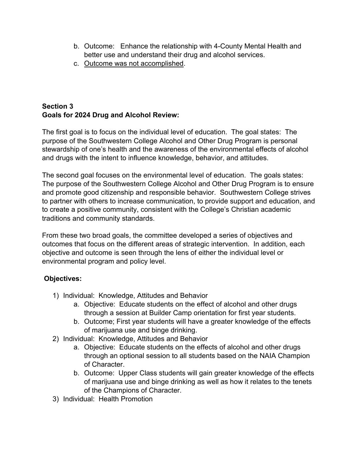- b. Outcome: Enhance the relationship with 4-County Mental Health and better use and understand their drug and alcohol services.
- c. Outcome was not accomplished.

# **Section 3 Goals for 2024 Drug and Alcohol Review:**

The first goal is to focus on the individual level of education. The goal states: The purpose of the Southwestern College Alcohol and Other Drug Program is personal stewardship of one's health and the awareness of the environmental effects of alcohol and drugs with the intent to influence knowledge, behavior, and attitudes.

The second goal focuses on the environmental level of education. The goals states: The purpose of the Southwestern College Alcohol and Other Drug Program is to ensure and promote good citizenship and responsible behavior. Southwestern College strives to partner with others to increase communication, to provide support and education, and to create a positive community, consistent with the College's Christian academic traditions and community standards.

From these two broad goals, the committee developed a series of objectives and outcomes that focus on the different areas of strategic intervention. In addition, each objective and outcome is seen through the lens of either the individual level or environmental program and policy level.

## **Objectives:**

- 1) Individual: Knowledge, Attitudes and Behavior
	- a. Objective: Educate students on the effect of alcohol and other drugs through a session at Builder Camp orientation for first year students.
	- b. Outcome; First year students will have a greater knowledge of the effects of marijuana use and binge drinking.
- 2) Individual: Knowledge, Attitudes and Behavior
	- a. Objective: Educate students on the effects of alcohol and other drugs through an optional session to all students based on the NAIA Champion of Character.
	- b. Outcome: Upper Class students will gain greater knowledge of the effects of marijuana use and binge drinking as well as how it relates to the tenets of the Champions of Character.
- 3) Individual: Health Promotion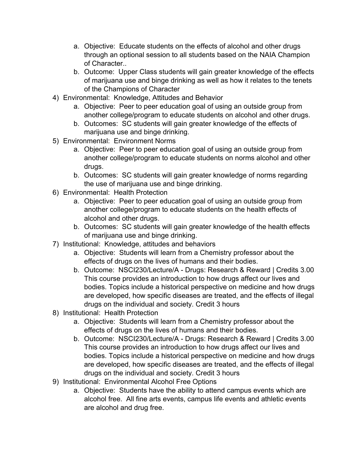- a. Objective: Educate students on the effects of alcohol and other drugs through an optional session to all students based on the NAIA Champion of Character..
- b. Outcome: Upper Class students will gain greater knowledge of the effects of marijuana use and binge drinking as well as how it relates to the tenets of the Champions of Character
- 4) Environmental: Knowledge, Attitudes and Behavior
	- a. Objective: Peer to peer education goal of using an outside group from another college/program to educate students on alcohol and other drugs.
	- b. Outcomes: SC students will gain greater knowledge of the effects of marijuana use and binge drinking.
- 5) Environmental: Environment Norms
	- a. Objective: Peer to peer education goal of using an outside group from another college/program to educate students on norms alcohol and other drugs.
	- b. Outcomes: SC students will gain greater knowledge of norms regarding the use of marijuana use and binge drinking.
- 6) Environmental: Health Protection
	- a. Objective: Peer to peer education goal of using an outside group from another college/program to educate students on the health effects of alcohol and other drugs.
	- b. Outcomes: SC students will gain greater knowledge of the health effects of marijuana use and binge drinking.
- 7) Institutional: Knowledge, attitudes and behaviors
	- a. Objective: Students will learn from a Chemistry professor about the effects of drugs on the lives of humans and their bodies.
	- b. Outcome: NSCI230/Lecture/A Drugs: Research & Reward | Credits 3.00 This course provides an introduction to how drugs affect our lives and bodies. Topics include a historical perspective on medicine and how drugs are developed, how specific diseases are treated, and the effects of illegal drugs on the individual and society. Credit 3 hours
- 8) Institutional: Health Protection
	- a. Objective: Students will learn from a Chemistry professor about the effects of drugs on the lives of humans and their bodies.
	- b. Outcome: NSCI230/Lecture/A Drugs: Research & Reward | Credits 3.00 This course provides an introduction to how drugs affect our lives and bodies. Topics include a historical perspective on medicine and how drugs are developed, how specific diseases are treated, and the effects of illegal drugs on the individual and society. Credit 3 hours
- 9) Institutional: Environmental Alcohol Free Options
	- a. Objective: Students have the ability to attend campus events which are alcohol free. All fine arts events, campus life events and athletic events are alcohol and drug free.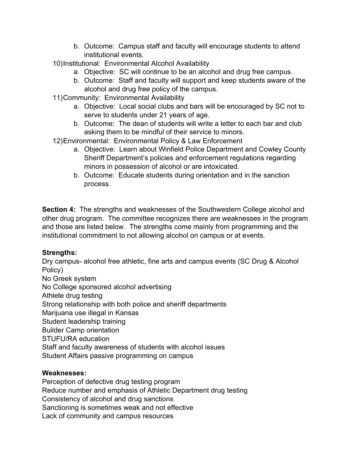- b. Outcome: Campus staff and faculty will encourage students to attend institutional events.
- 10)Institutional: Environmental Alcohol Availability
	- a. Objective: SC will continue to be an alcohol and drug free campus.
	- b. Outcome: Staff and faculty will support and keep students aware of the alcohol and drug free policy of the campus.
- 11)Community: Environmental Availability
	- a. Objective: Local social clubs and bars will be encouraged by SC not to serve to students under 21 years of age.
	- b. Outcome: The dean of students will write a letter to each bar and club asking them to be mindful of their service to minors.
- 12)Environmental: Environmental Policy & Law Enforcement
	- a. Objective: Learn about Winfield Police Department and Cowley County Sheriff Department's policies and enforcement regulations regarding minors in possession of alcohol or are intoxicated.
	- b. Outcome: Educate students during orientation and in the sanction process.

**Section 4:** The strengths and weaknesses of the Southwestern College alcohol and other drug program. The committee recognizes there are weaknesses in the program and those are listed below. The strengths come mainly from programming and the institutional commitment to not allowing alcohol on campus or at events.

## **Strengths:**

Dry campus- alcohol free athletic, fine arts and campus events (SC Drug & Alcohol Policy) No Greek system No College sponsored alcohol advertising Athlete drug testing Strong relationship with both police and sheriff departments Marijuana use illegal in Kansas Student leadership training Builder Camp orientation STUFU/RA education Staff and faculty awareness of students with alcohol issues Student Affairs passive programming on campus

## **Weaknesses:**

Perception of defective drug testing program Reduce number and emphasis of Athletic Department drug testing Consistency of alcohol and drug sanctions Sanctioning is sometimes weak and not effective Lack of community and campus resources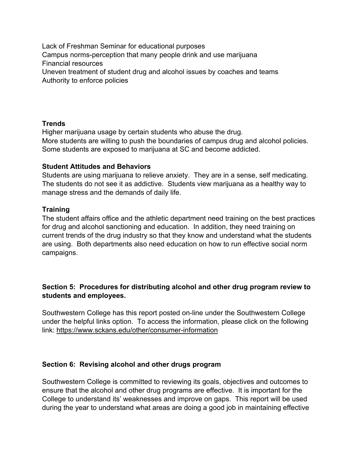Lack of Freshman Seminar for educational purposes Campus norms-perception that many people drink and use marijuana Financial resources Uneven treatment of student drug and alcohol issues by coaches and teams Authority to enforce policies

### **Trends**

Higher marijuana usage by certain students who abuse the drug. More students are willing to push the boundaries of campus drug and alcohol policies. Some students are exposed to marijuana at SC and become addicted.

#### **Student Attitudes and Behaviors**

Students are using marijuana to relieve anxiety. They are in a sense, self medicating. The students do not see it as addictive. Students view marijuana as a healthy way to manage stress and the demands of daily life.

#### **Training**

The student affairs office and the athletic department need training on the best practices for drug and alcohol sanctioning and education. In addition, they need training on current trends of the drug industry so that they know and understand what the students are using. Both departments also need education on how to run effective social norm campaigns.

## **Section 5: Procedures for distributing alcohol and other drug program review to students and employees.**

Southwestern College has this report posted on-line under the Southwestern College under the helpful links option. To access the information, please click on the following link: https://www.sckans.edu/other/consumer-information

### **Section 6: Revising alcohol and other drugs program**

Southwestern College is committed to reviewing its goals, objectives and outcomes to ensure that the alcohol and other drug programs are effective. It is important for the College to understand its' weaknesses and improve on gaps. This report will be used during the year to understand what areas are doing a good job in maintaining effective